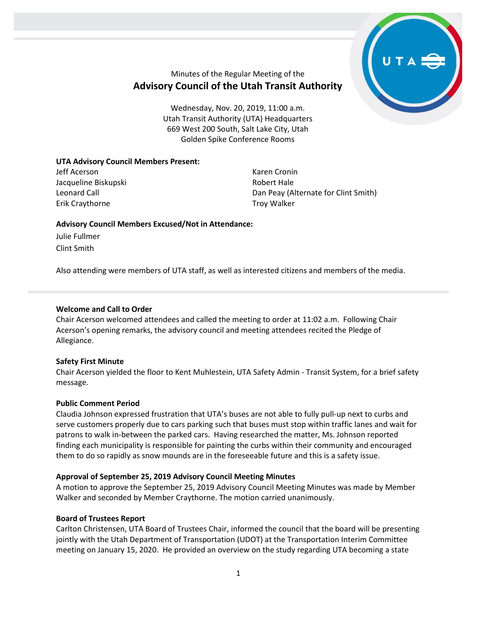

# Minutes of the Regular Meeting of the **Advisory Council of the Utah Transit Authority**

Wednesday, Nov. 20, 2019, 11:00 a.m. Utah Transit Authority (UTA) Headquarters 669 West 200 South, Salt Lake City, Utah Golden Spike Conference Rooms

## **UTA Advisory Council Members Present:**

Jeff Acerson Jacqueline Biskupski Leonard Call Erik Craythorne

Karen Cronin Robert Hale Dan Peay (Alternate for Clint Smith) Troy Walker

## **Advisory Council Members Excused/Not in Attendance:**

Julie Fullmer Clint Smith

Also attending were members of UTA staff, as well as interested citizens and members of the media.

## **Welcome and Call to Order**

Chair Acerson welcomed attendees and called the meeting to order at 11:02 a.m. Following Chair Acerson's opening remarks, the advisory council and meeting attendees recited the Pledge of Allegiance.

#### **Safety First Minute**

Chair Acerson yielded the floor to Kent Muhlestein, UTA Safety Admin - Transit System, for a brief safety message.

# **Public Comment Period**

Claudia Johnson expressed frustration that UTA's buses are not able to fully pull-up next to curbs and serve customers properly due to cars parking such that buses must stop within traffic lanes and wait for patrons to walk in-between the parked cars. Having researched the matter, Ms. Johnson reported finding each municipality is responsible for painting the curbs within their community and encouraged them to do so rapidly as snow mounds are in the foreseeable future and this is a safety issue.

# **Approval of September 25, 2019 Advisory Council Meeting Minutes**

A motion to approve the September 25, 2019 Advisory Council Meeting Minutes was made by Member Walker and seconded by Member Craythorne. The motion carried unanimously.

#### **Board of Trustees Report**

Carlton Christensen, UTA Board of Trustees Chair, informed the council that the board will be presenting jointly with the Utah Department of Transportation (UDOT) at the Transportation Interim Committee meeting on January 15, 2020. He provided an overview on the study regarding UTA becoming a state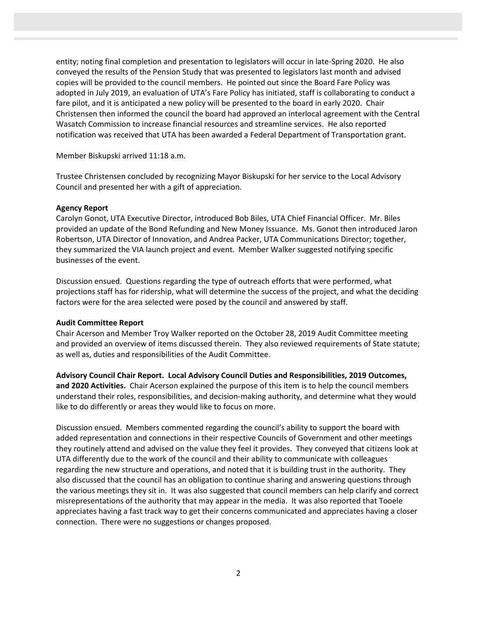entity; noting final completion and presentation to legislators will occur in late-Spring 2020. He also conveyed the results of the Pension Study that was presented to legislators last month and advised copies will be provided to the council members. He pointed out since the Board Fare Policy was adopted in July 2019, an evaluation of UTA's Fare Policy has initiated, staff is collaborating to conduct a fare pilot, and it is anticipated a new policy will be presented to the board in early 2020. Chair Christensen then informed the council the board had approved an interlocal agreement with the Central Wasatch Commission to increase financial resources and streamline services. He also reported notification was received that UTA has been awarded a Federal Department of Transportation grant.

Member Biskupski arrived 11:18 a.m.

Trustee Christensen concluded by recognizing Mayor Biskupski for her service to the Local Advisory Council and presented her with a gift of appreciation.

## **Agency Report**

Carolyn Gonot, UTA Executive Director, introduced Bob Biles, UTA Chief Financial Officer. Mr. Biles provided an update of the Bond Refunding and New Money Issuance. Ms. Gonot then introduced Jaron Robertson, UTA Director of Innovation, and Andrea Packer, UTA Communications Director; together, they summarized the VIA launch project and event. Member Walker suggested notifying specific businesses of the event.

Discussion ensued. Questions regarding the type of outreach efforts that were performed, what projections staff has for ridership, what will determine the success of the project, and what the deciding factors were for the area selected were posed by the council and answered by staff.

# **Audit Committee Report**

Chair Acerson and Member Troy Walker reported on the October 28, 2019 Audit Committee meeting and provided an overview of items discussed therein. They also reviewed requirements of State statute; as well as, duties and responsibilities of the Audit Committee.

**Advisory Council Chair Report. Local Advisory Council Duties and Responsibilities, 2019 Outcomes, and 2020 Activities.** Chair Acerson explained the purpose of this item is to help the council members understand their roles, responsibilities, and decision-making authority, and determine what they would like to do differently or areas they would like to focus on more.

Discussion ensued. Members commented regarding the council's ability to support the board with added representation and connections in their respective Councils of Government and other meetings they routinely attend and advised on the value they feel it provides. They conveyed that citizens look at UTA differently due to the work of the council and their ability to communicate with colleagues regarding the new structure and operations, and noted that it is building trust in the authority. They also discussed that the council has an obligation to continue sharing and answering questions through the various meetings they sit in. It was also suggested that council members can help clarify and correct misrepresentations of the authority that may appear in the media. It was also reported that Tooele appreciates having a fast track way to get their concerns communicated and appreciates having a closer connection. There were no suggestions or changes proposed.